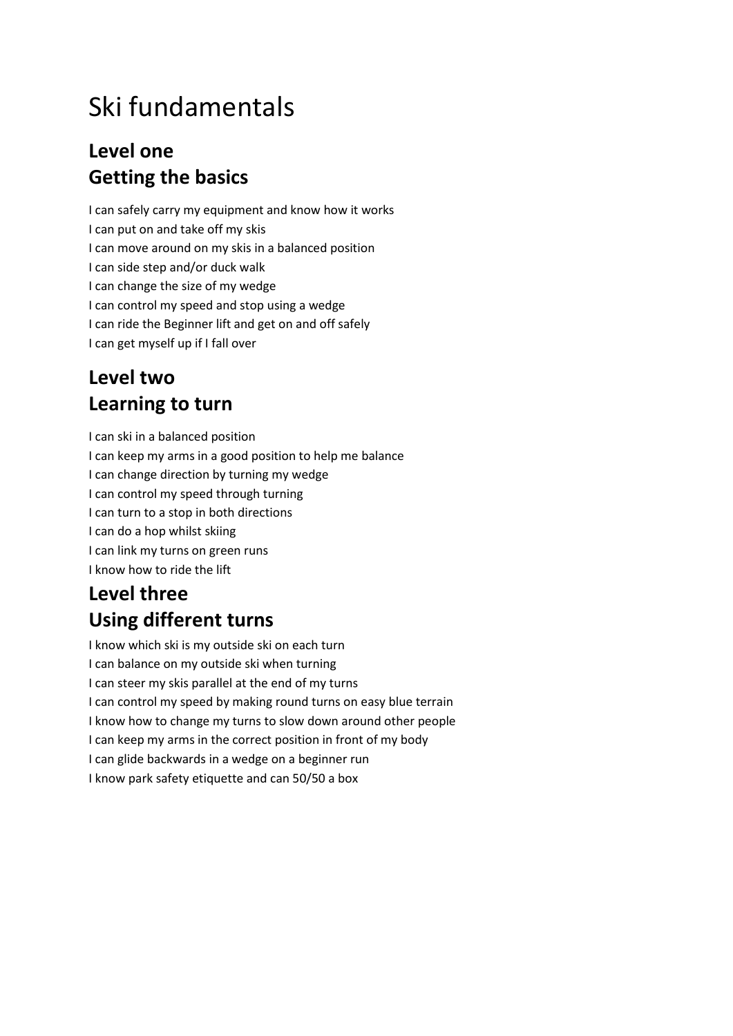# Ski fundamentals

#### **Level one Getting the basics**

I can safely carry my equipment and know how it works I can put on and take off my skis I can move around on my skis in a balanced position I can side step and/or duck walk I can change the size of my wedge I can control my speed and stop using a wedge I can ride the Beginner lift and get on and off safely I can get myself up if I fall over

#### **Level two Learning to turn**

I can ski in a balanced position I can keep my arms in a good position to help me balance I can change direction by turning my wedge I can control my speed through turning I can turn to a stop in both directions I can do a hop whilst skiing I can link my turns on green runs I know how to ride the lift

## **Level three Using different turns**

I know which ski is my outside ski on each turn I can balance on my outside ski when turning I can steer my skis parallel at the end of my turns I can control my speed by making round turns on easy blue terrain I know how to change my turns to slow down around other people I can keep my arms in the correct position in front of my body I can glide backwards in a wedge on a beginner run I know park safety etiquette and can 50/50 a box